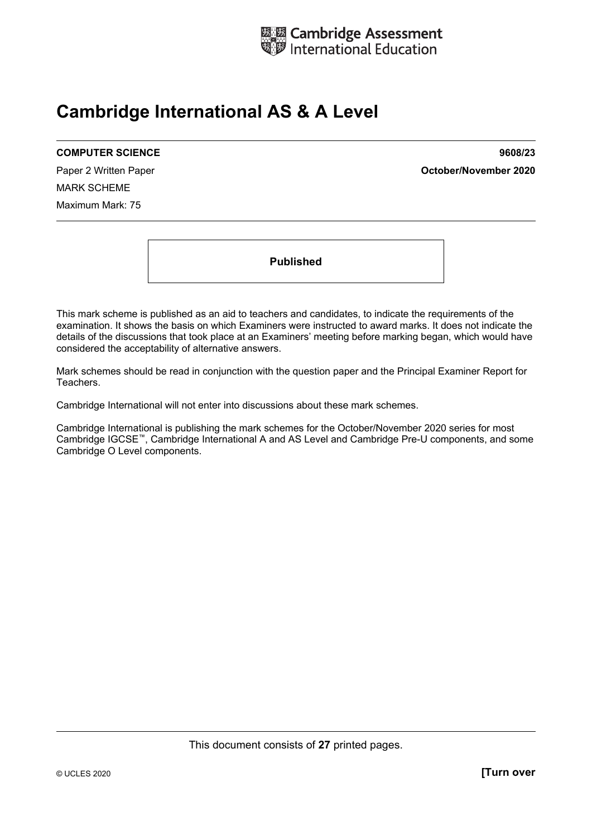

# **Cambridge International AS & A Level**

#### **COMPUTER SCIENCE 9608/23**

MARK SCHEME Maximum Mark: 75

Paper 2 Written Paper **October/November 2020**

**Published** 

This mark scheme is published as an aid to teachers and candidates, to indicate the requirements of the examination. It shows the basis on which Examiners were instructed to award marks. It does not indicate the details of the discussions that took place at an Examiners' meeting before marking began, which would have considered the acceptability of alternative answers.

Mark schemes should be read in conjunction with the question paper and the Principal Examiner Report for Teachers.

Cambridge International will not enter into discussions about these mark schemes.

Cambridge International is publishing the mark schemes for the October/November 2020 series for most Cambridge IGCSE™, Cambridge International A and AS Level and Cambridge Pre-U components, and some Cambridge O Level components.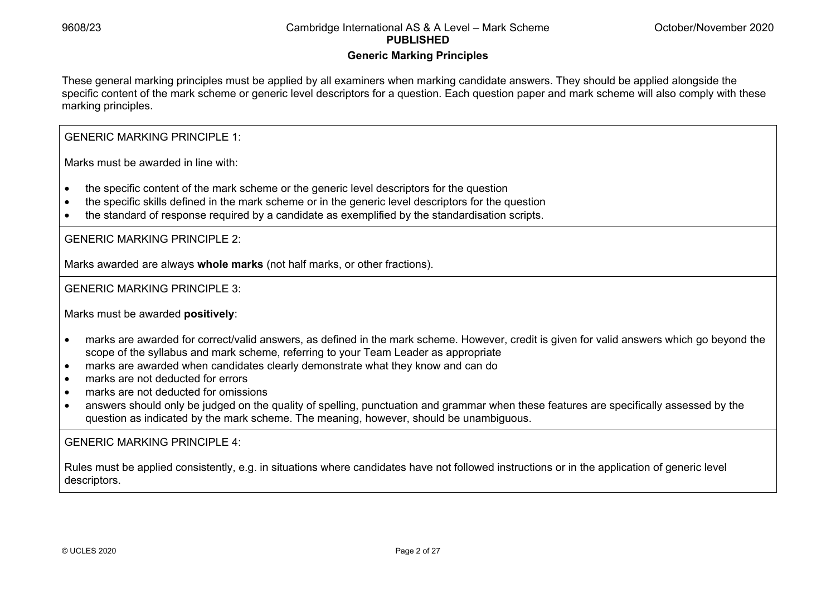#### **Generic Marking Principles**

These general marking principles must be applied by all examiners when marking candidate answers. They should be applied alongside the specific content of the mark scheme or generic level descriptors for a question. Each question paper and mark scheme will also comply with these marking principles.

GENERIC MARKING PRINCIPLE 1:

Marks must be awarded in line with:

- the specific content of the mark scheme or the generic level descriptors for the question
- the specific skills defined in the mark scheme or in the generic level descriptors for the question
- the standard of response required by a candidate as exemplified by the standardisation scripts.

GENERIC MARKING PRINCIPLE 2:

Marks awarded are always **whole marks** (not half marks, or other fractions).

GENERIC MARKING PRINCIPLE 3:

Marks must be awarded **positively**:

- marks are awarded for correct/valid answers, as defined in the mark scheme. However, credit is given for valid answers which go beyond the scope of the syllabus and mark scheme, referring to your Team Leader as appropriate
- marks are awarded when candidates clearly demonstrate what they know and can do
- marks are not deducted for errors
- marks are not deducted for omissions
- answers should only be judged on the quality of spelling, punctuation and grammar when these features are specifically assessed by the question as indicated by the mark scheme. The meaning, however, should be unambiguous.

GENERIC MARKING PRINCIPLE 4:

Rules must be applied consistently, e.g. in situations where candidates have not followed instructions or in the application of generic level descriptors.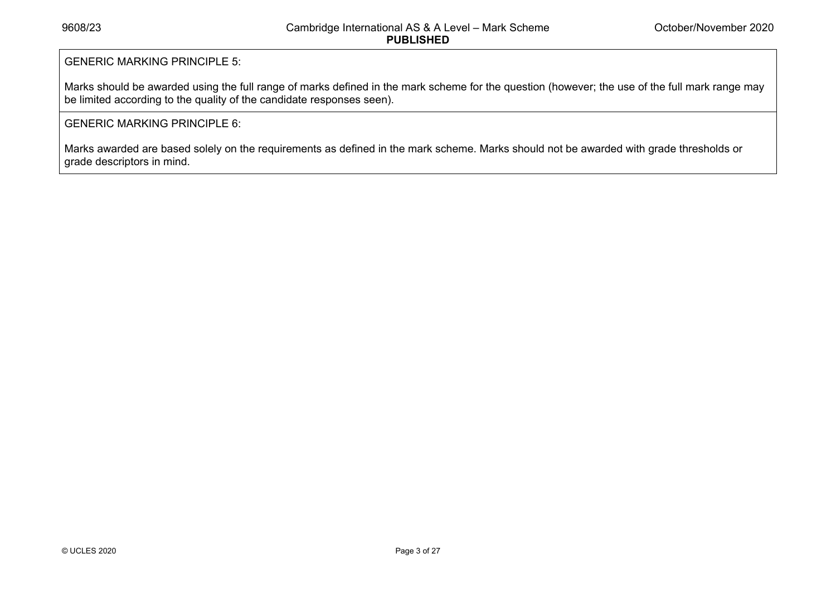#### GENERIC MARKING PRINCIPLE 5:

Marks should be awarded using the full range of marks defined in the mark scheme for the question (however; the use of the full mark range may be limited according to the quality of the candidate responses seen).

#### GENERIC MARKING PRINCIPLE 6:

Marks awarded are based solely on the requirements as defined in the mark scheme. Marks should not be awarded with grade thresholds or grade descriptors in mind.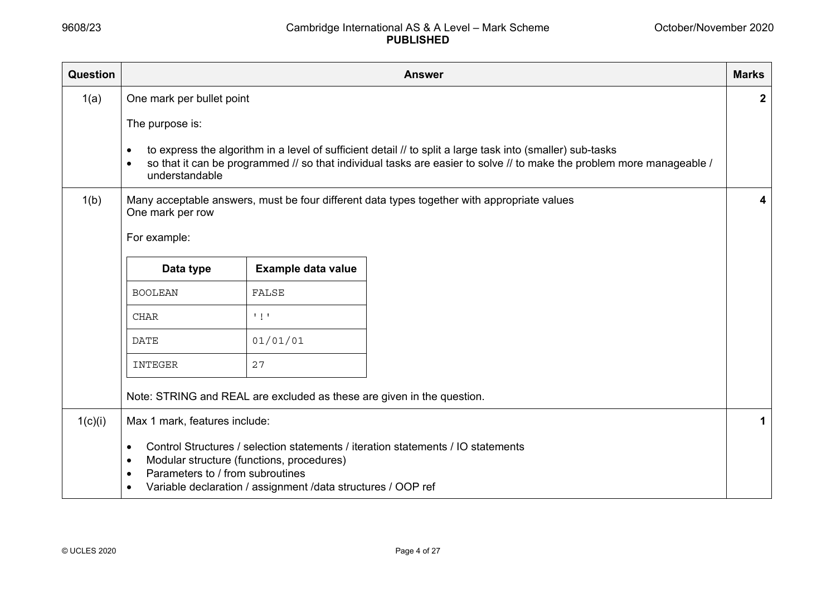| Question | <b>Answer</b>                                                                        |                                                                                                           |                                                                                                                                                                                                                                     | <b>Marks</b> |
|----------|--------------------------------------------------------------------------------------|-----------------------------------------------------------------------------------------------------------|-------------------------------------------------------------------------------------------------------------------------------------------------------------------------------------------------------------------------------------|--------------|
| 1(a)     | One mark per bullet point                                                            |                                                                                                           |                                                                                                                                                                                                                                     | $\mathbf{2}$ |
|          | The purpose is:                                                                      |                                                                                                           |                                                                                                                                                                                                                                     |              |
|          | $\bullet$<br>$\bullet$<br>understandable                                             |                                                                                                           | to express the algorithm in a level of sufficient detail // to split a large task into (smaller) sub-tasks<br>so that it can be programmed // so that individual tasks are easier to solve // to make the problem more manageable / |              |
| 1(b)     | One mark per row                                                                     |                                                                                                           | Many acceptable answers, must be four different data types together with appropriate values                                                                                                                                         | 4            |
|          | For example:                                                                         |                                                                                                           |                                                                                                                                                                                                                                     |              |
|          |                                                                                      |                                                                                                           |                                                                                                                                                                                                                                     |              |
|          | Data type                                                                            | Example data value                                                                                        |                                                                                                                                                                                                                                     |              |
|          | <b>BOOLEAN</b>                                                                       | FALSE                                                                                                     |                                                                                                                                                                                                                                     |              |
|          | <b>CHAR</b>                                                                          | $\mathbf{1}$ $\mathbf{1}$                                                                                 |                                                                                                                                                                                                                                     |              |
|          | DATE                                                                                 | 01/01/01                                                                                                  |                                                                                                                                                                                                                                     |              |
|          | INTEGER                                                                              | 27                                                                                                        |                                                                                                                                                                                                                                     |              |
|          |                                                                                      | Note: STRING and REAL are excluded as these are given in the question.                                    |                                                                                                                                                                                                                                     |              |
| 1(c)(i)  | Max 1 mark, features include:                                                        |                                                                                                           |                                                                                                                                                                                                                                     | 1            |
|          | $\bullet$<br>$\bullet$<br>Parameters to / from subroutines<br>$\bullet$<br>$\bullet$ | Modular structure (functions, procedures)<br>Variable declaration / assignment /data structures / OOP ref | Control Structures / selection statements / iteration statements / IO statements                                                                                                                                                    |              |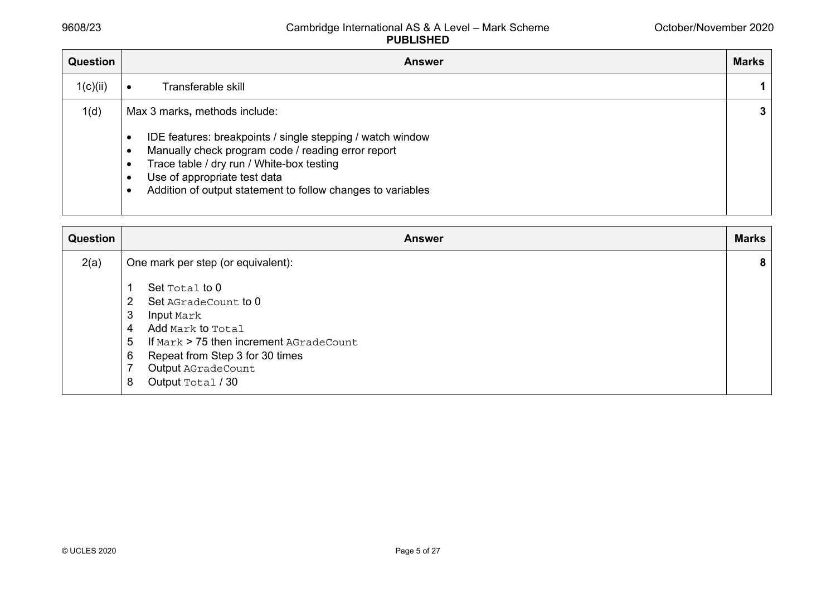| Question | <b>Answer</b>                                                                                                                                                                                                                                                                                 | <b>Marks</b> |
|----------|-----------------------------------------------------------------------------------------------------------------------------------------------------------------------------------------------------------------------------------------------------------------------------------------------|--------------|
| 1(c)(ii) | Transferable skill                                                                                                                                                                                                                                                                            |              |
| 1(d)     | Max 3 marks, methods include:<br>IDE features: breakpoints / single stepping / watch window<br>Manually check program code / reading error report<br>Trace table / dry run / White-box testing<br>Use of appropriate test data<br>Addition of output statement to follow changes to variables | 3            |

| Question | <b>Answer</b>                                                                                                                                                                                                                                     | <b>Marks</b> |
|----------|---------------------------------------------------------------------------------------------------------------------------------------------------------------------------------------------------------------------------------------------------|--------------|
| 2(a)     | One mark per step (or equivalent):                                                                                                                                                                                                                | 8            |
|          | Set Total to 0<br>1<br>Set AGradeCount to 0<br>2<br>3<br><b>Input</b> Mark<br>Add Mark to Total<br>4<br>If Mark > 75 then increment AGradeCount<br>5<br>Repeat from Step 3 for 30 times<br>6<br>7<br>Output AGradeCount<br>Output Total / 30<br>8 |              |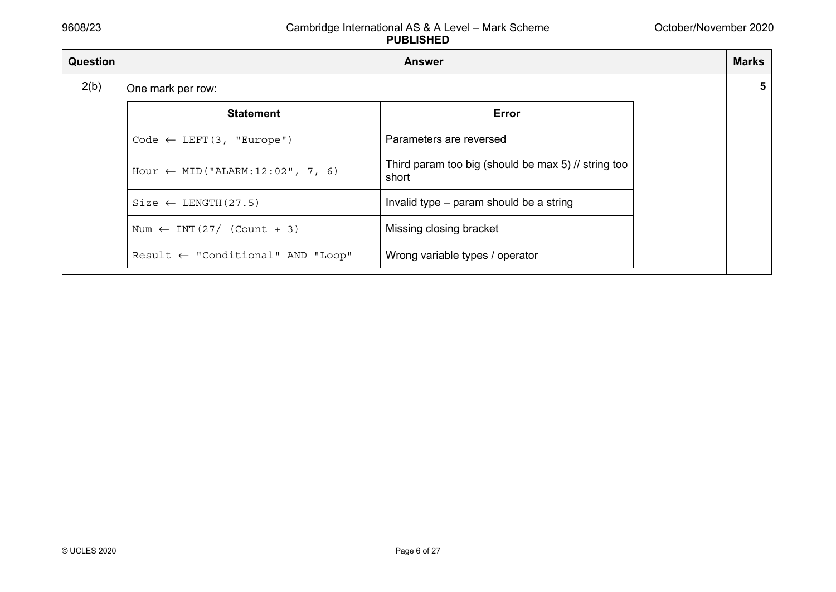| <b>Question</b> | <b>Answer</b>                                |                                                              |   |
|-----------------|----------------------------------------------|--------------------------------------------------------------|---|
| 2(b)            | One mark per row:                            |                                                              | 5 |
|                 | <b>Statement</b>                             | Error                                                        |   |
|                 | Code $\leftarrow$ LEFT(3, "Europe")          | Parameters are reversed                                      |   |
|                 | Hour $\leftarrow$ MID ("ALARM: 12:02", 7, 6) | Third param too big (should be max 5) // string too<br>short |   |
|                 | $Size \leftarrow LENGTH(27.5)$               | Invalid type – param should be a string                      |   |
|                 | Num $\leftarrow$ INT(27/ (Count + 3)         | Missing closing bracket                                      |   |
|                 | Result $\leftarrow$ "Conditional" AND "Loop" | Wrong variable types / operator                              |   |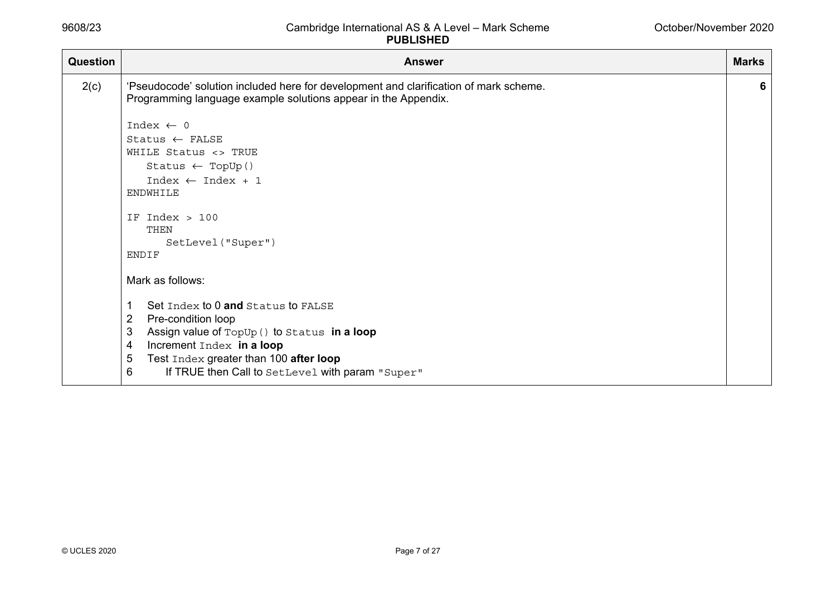| Question | <b>Answer</b>                                                                                                                                           | <b>Marks</b> |
|----------|---------------------------------------------------------------------------------------------------------------------------------------------------------|--------------|
| 2(c)     | 'Pseudocode' solution included here for development and clarification of mark scheme.<br>Programming language example solutions appear in the Appendix. | 6            |
|          | Index $\leftarrow$ 0                                                                                                                                    |              |
|          | $States \leftarrow FALSE$                                                                                                                               |              |
|          | WHILE Status <> TRUE                                                                                                                                    |              |
|          | Status $\leftarrow$ TopUp()                                                                                                                             |              |
|          | Index $\leftarrow$ Index + 1                                                                                                                            |              |
|          | ENDWHILE                                                                                                                                                |              |
|          | IF Index $>100$                                                                                                                                         |              |
|          | THEN                                                                                                                                                    |              |
|          | SetLevel ("Super")                                                                                                                                      |              |
|          | <b>ENDIF</b>                                                                                                                                            |              |
|          | Mark as follows:                                                                                                                                        |              |
|          | Set Index to 0 and Status to FALSE<br>1                                                                                                                 |              |
|          | $\overline{2}$<br>Pre-condition loop                                                                                                                    |              |
|          | 3<br>Assign value of TopUp () to Status in a loop                                                                                                       |              |
|          | Increment Index in a loop<br>4                                                                                                                          |              |
|          | 5<br>Test Index greater than 100 after loop                                                                                                             |              |
|          | 6<br>If TRUE then Call to SetLevel with param "Super"                                                                                                   |              |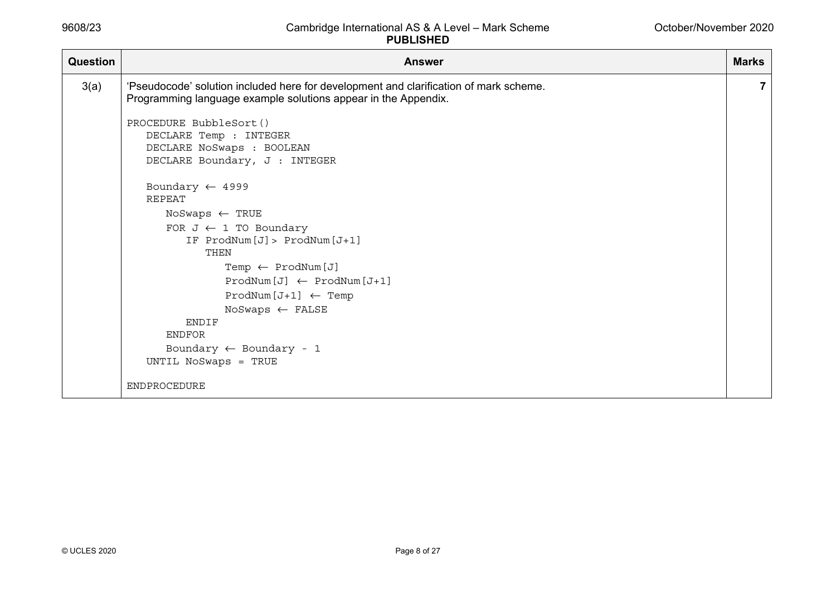| Question | <b>Answer</b>                                                                                                                                           | <b>Marks</b> |
|----------|---------------------------------------------------------------------------------------------------------------------------------------------------------|--------------|
| 3(a)     | 'Pseudocode' solution included here for development and clarification of mark scheme.<br>Programming language example solutions appear in the Appendix. | $\mathbf{7}$ |
|          | PROCEDURE BubbleSort()<br>DECLARE Temp : INTEGER                                                                                                        |              |
|          | DECLARE NoSwaps : BOOLEAN<br>DECLARE Boundary, J : INTEGER                                                                                              |              |
|          | Boundary $\leftarrow$ 4999<br><b>REPEAT</b>                                                                                                             |              |
|          | $N$ oSwaps $\leftarrow$ TRUE                                                                                                                            |              |
|          | FOR $J \leftarrow 1$ TO Boundary                                                                                                                        |              |
|          | IF ProdNum[J]> ProdNum[J+1]<br>THEN                                                                                                                     |              |
|          | Temp $\leftarrow$ ProdNum [J]                                                                                                                           |              |
|          | $\texttt{ProdNum[J]} \leftarrow \texttt{ProdNum[J+1]}$                                                                                                  |              |
|          | $\text{ProdNum}[\text{J+1}] \leftarrow \text{Temp}$                                                                                                     |              |
|          | NoSwaps $\leftarrow$ FALSE                                                                                                                              |              |
|          | <b>ENDIF</b>                                                                                                                                            |              |
|          | <b>ENDFOR</b>                                                                                                                                           |              |
|          | Boundary $\leftarrow$ Boundary - 1                                                                                                                      |              |
|          | UNTIL NoSwaps = TRUE                                                                                                                                    |              |
|          | ENDPROCEDURE                                                                                                                                            |              |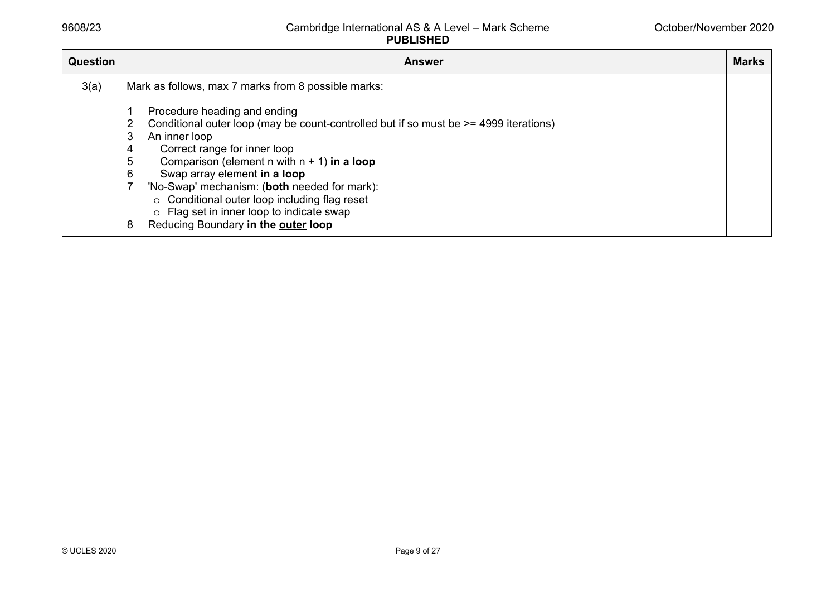| <b>Question</b> | <b>Answer</b>                                                                                                                                                                                                                                                                                                                                                                                                                                                               | <b>Marks</b> |  |  |
|-----------------|-----------------------------------------------------------------------------------------------------------------------------------------------------------------------------------------------------------------------------------------------------------------------------------------------------------------------------------------------------------------------------------------------------------------------------------------------------------------------------|--------------|--|--|
| 3(a)            | Mark as follows, max 7 marks from 8 possible marks:                                                                                                                                                                                                                                                                                                                                                                                                                         |              |  |  |
|                 | Procedure heading and ending<br>Conditional outer loop (may be count-controlled but if so must be $\ge$ = 4999 iterations)<br>3<br>An inner loop<br>Correct range for inner loop<br>4<br>5<br>Comparison (element n with $n + 1$ ) in a loop<br>Swap array element in a loop<br>6<br>'No-Swap' mechanism: (both needed for mark):<br>○ Conditional outer loop including flag reset<br>o Flag set in inner loop to indicate swap<br>Reducing Boundary in the outer loop<br>8 |              |  |  |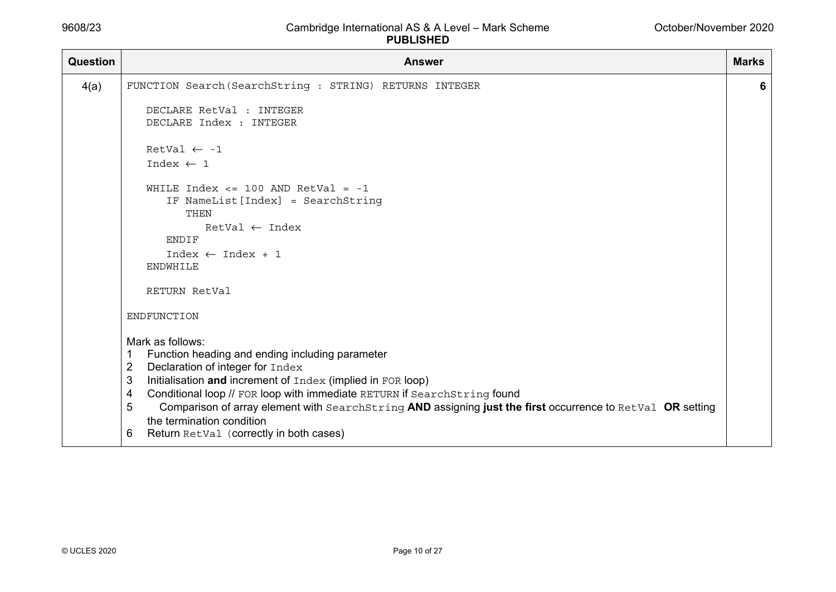| <b>Question</b> | <b>Answer</b>                                                                                                                                     | <b>Marks</b> |
|-----------------|---------------------------------------------------------------------------------------------------------------------------------------------------|--------------|
| 4(a)            | FUNCTION Search (SearchString : STRING) RETURNS INTEGER                                                                                           | 6            |
|                 | DECLARE RetVal : INTEGER                                                                                                                          |              |
|                 | DECLARE Index : INTEGER                                                                                                                           |              |
|                 | RetVal $\leftarrow -1$                                                                                                                            |              |
|                 | Index $\leftarrow$ 1                                                                                                                              |              |
|                 | WHILE Index $\le$ 100 AND RetVal = -1                                                                                                             |              |
|                 | IF NameList [Index] = SearchString<br>THEN                                                                                                        |              |
|                 | $RetVal \leftarrow Index$                                                                                                                         |              |
|                 | <b>ENDIF</b>                                                                                                                                      |              |
|                 | $Index \leftarrow Index + 1$                                                                                                                      |              |
|                 | ENDWHILE                                                                                                                                          |              |
|                 | RETURN RetVal                                                                                                                                     |              |
|                 | ENDFUNCTION                                                                                                                                       |              |
|                 | Mark as follows:                                                                                                                                  |              |
|                 | Function heading and ending including parameter<br>-1                                                                                             |              |
|                 | $\overline{2}$<br>Declaration of integer for Index                                                                                                |              |
|                 | 3<br>Initialisation and increment of Index (implied in FOR loop)<br>4<br>Conditional loop // FOR loop with immediate RETURN if SearchString found |              |
|                 | 5<br>Comparison of array element with SearchString AND assigning just the first occurrence to RetVal OR setting                                   |              |
|                 | the termination condition                                                                                                                         |              |
|                 | Return RetVal (correctly in both cases)<br>6                                                                                                      |              |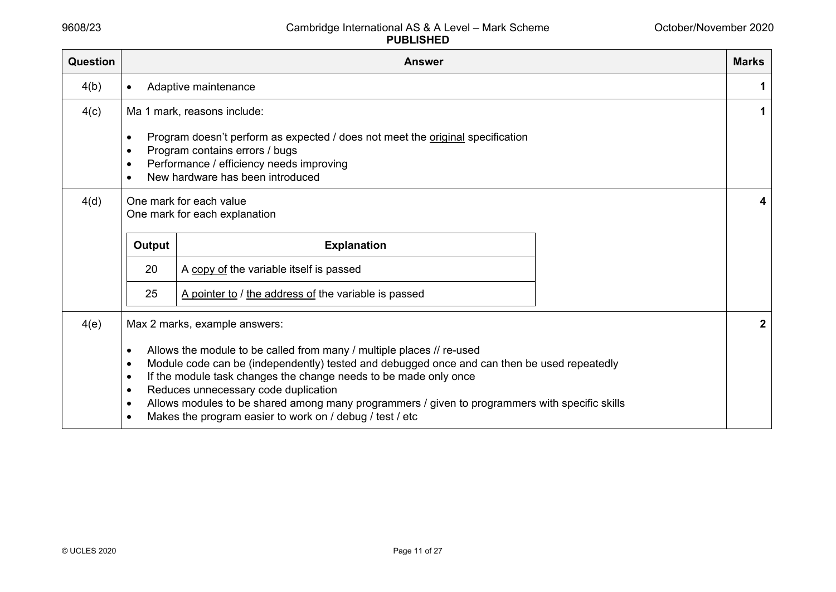| Question |                                                          | <b>Answer</b>                                                                                  | <b>Marks</b>     |
|----------|----------------------------------------------------------|------------------------------------------------------------------------------------------------|------------------|
| 4(b)     | $\bullet$                                                | Adaptive maintenance                                                                           | 1                |
| 4(c)     |                                                          | Ma 1 mark, reasons include:                                                                    | 1                |
|          | $\bullet$                                                | Program doesn't perform as expected / does not meet the original specification                 |                  |
|          |                                                          | Program contains errors / bugs                                                                 |                  |
|          | $\bullet$                                                | Performance / efficiency needs improving                                                       |                  |
|          |                                                          | New hardware has been introduced                                                               |                  |
| 4(d)     | One mark for each value<br>One mark for each explanation |                                                                                                | 4                |
|          | Output                                                   | <b>Explanation</b>                                                                             |                  |
|          | 20                                                       | A copy of the variable itself is passed                                                        |                  |
|          | 25                                                       | A pointer to / the address of the variable is passed                                           |                  |
| 4(e)     |                                                          | Max 2 marks, example answers:                                                                  | $\boldsymbol{2}$ |
|          | $\bullet$                                                | Allows the module to be called from many / multiple places // re-used                          |                  |
|          | $\bullet$                                                | Module code can be (independently) tested and debugged once and can then be used repeatedly    |                  |
|          | $\bullet$                                                | If the module task changes the change needs to be made only once                               |                  |
|          | Reduces unnecessary code duplication<br>$\bullet$        |                                                                                                |                  |
|          | $\bullet$                                                | Allows modules to be shared among many programmers / given to programmers with specific skills |                  |
|          | $\bullet$                                                | Makes the program easier to work on / debug / test / etc                                       |                  |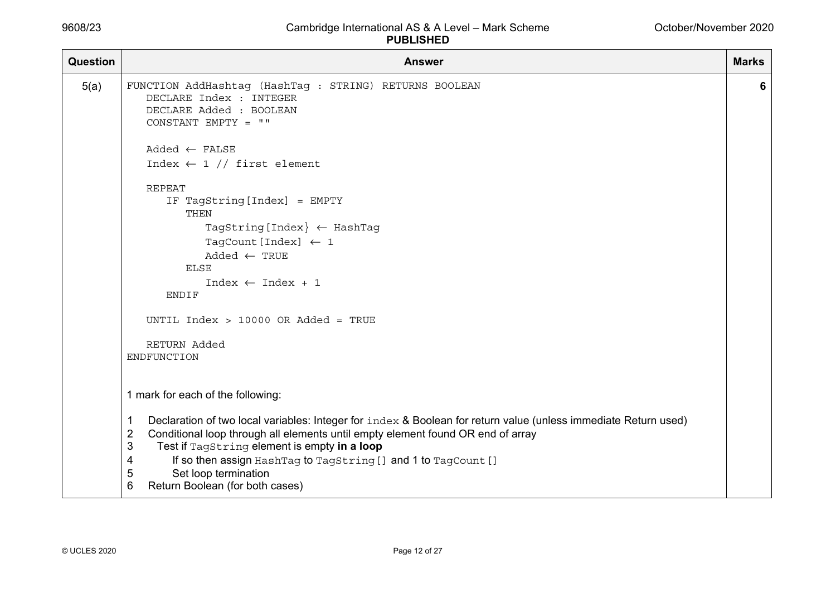| <b>Question</b> | <b>Answer</b>                                                                                                                                                                                                                                                                                                                                                                                                                        | <b>Marks</b> |
|-----------------|--------------------------------------------------------------------------------------------------------------------------------------------------------------------------------------------------------------------------------------------------------------------------------------------------------------------------------------------------------------------------------------------------------------------------------------|--------------|
| 5(a)            | FUNCTION AddHashtag (HashTag : STRING) RETURNS BOOLEAN<br>DECLARE Index : INTEGER<br>DECLARE Added : BOOLEAN<br>CONSTANT EMPTY = $""$                                                                                                                                                                                                                                                                                                | 6            |
|                 | $Added \leftarrow FALSE$<br>Index $\leftarrow$ 1 // first element                                                                                                                                                                                                                                                                                                                                                                    |              |
|                 | <b>REPEAT</b><br>IF TagString [Index] = EMPTY<br>THEN                                                                                                                                                                                                                                                                                                                                                                                |              |
|                 | TagString [Index $\leftarrow$ HashTag<br>TagCount [Index] $\leftarrow$ 1<br>$Added \leftarrow TRUE$                                                                                                                                                                                                                                                                                                                                  |              |
|                 | ELSE<br>$Index \leftarrow Index + 1$<br><b>ENDIF</b>                                                                                                                                                                                                                                                                                                                                                                                 |              |
|                 | UNTIL Index > 10000 OR Added = TRUE                                                                                                                                                                                                                                                                                                                                                                                                  |              |
|                 | RETURN Added<br>ENDFUNCTION                                                                                                                                                                                                                                                                                                                                                                                                          |              |
|                 | 1 mark for each of the following:                                                                                                                                                                                                                                                                                                                                                                                                    |              |
|                 | Declaration of two local variables: Integer for index & Boolean for return value (unless immediate Return used)<br>$\mathbf 1$<br>$\overline{2}$<br>Conditional loop through all elements until empty element found OR end of array<br>3<br>Test if TagString element is empty in a loop<br>If so then assign HashTag to TagString [] and 1 to TagCount []<br>4<br>Set loop termination<br>5<br>6<br>Return Boolean (for both cases) |              |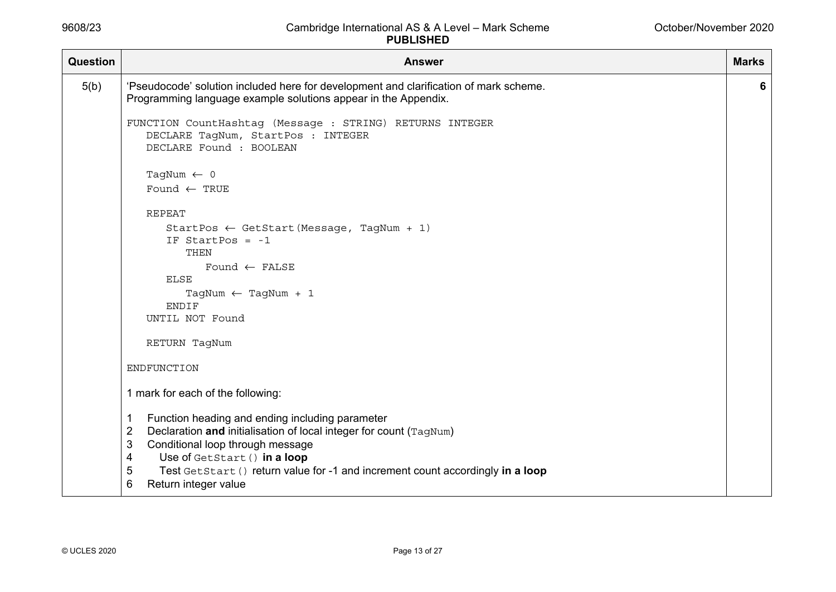| <b>Question</b> | <b>Answer</b>                                                                                                                                                                                                                                                                                                                                  | <b>Marks</b> |
|-----------------|------------------------------------------------------------------------------------------------------------------------------------------------------------------------------------------------------------------------------------------------------------------------------------------------------------------------------------------------|--------------|
| 5(b)            | 'Pseudocode' solution included here for development and clarification of mark scheme.<br>Programming language example solutions appear in the Appendix.                                                                                                                                                                                        | 6            |
|                 | FUNCTION CountHashtag (Message : STRING) RETURNS INTEGER<br>DECLARE TagNum, StartPos : INTEGER<br>DECLARE Found : BOOLEAN                                                                                                                                                                                                                      |              |
|                 | TagNum $\leftarrow$ 0<br>Found $\leftarrow$ TRUE                                                                                                                                                                                                                                                                                               |              |
|                 | <b>REPEAT</b>                                                                                                                                                                                                                                                                                                                                  |              |
|                 | StartPos $\leftarrow$ GetStart (Message, TagNum + 1)<br>IF StartPos = $-1$<br>THEN                                                                                                                                                                                                                                                             |              |
|                 | Found $\leftarrow$ FALSE<br><b>ELSE</b>                                                                                                                                                                                                                                                                                                        |              |
|                 | TagNum $\leftarrow$ TagNum + 1<br><b>ENDIF</b>                                                                                                                                                                                                                                                                                                 |              |
|                 | UNTIL NOT Found                                                                                                                                                                                                                                                                                                                                |              |
|                 | RETURN TagNum                                                                                                                                                                                                                                                                                                                                  |              |
|                 | ENDFUNCTION                                                                                                                                                                                                                                                                                                                                    |              |
|                 | 1 mark for each of the following:                                                                                                                                                                                                                                                                                                              |              |
|                 | Function heading and ending including parameter<br>1<br>$\overline{2}$<br>Declaration and initialisation of local integer for count (TagNum)<br>Conditional loop through message<br>3<br>Use of GetStart () in a loop<br>4<br>Test GetStart () return value for -1 and increment count accordingly in a loop<br>5<br>Return integer value<br>6 |              |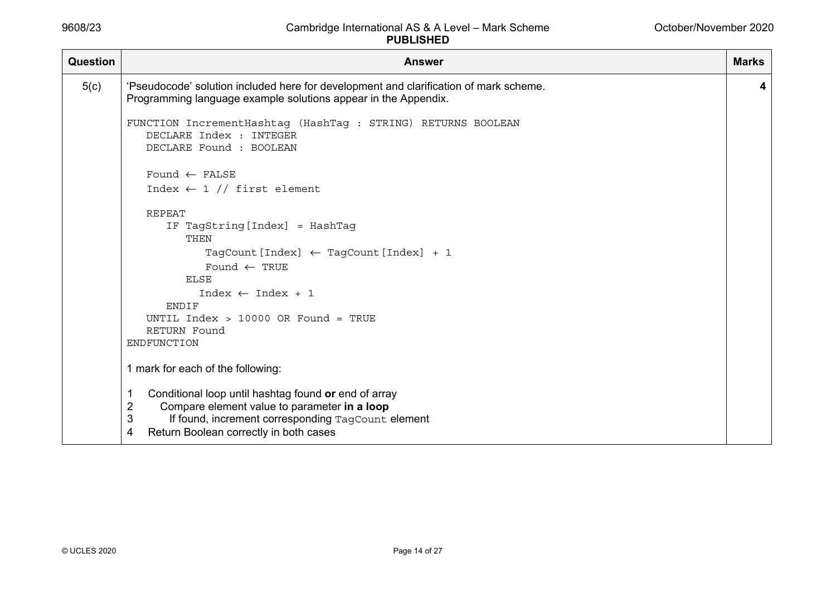| <b>Question</b> | <b>Answer</b>                                                                                                                                                                                                                                                            | <b>Marks</b> |
|-----------------|--------------------------------------------------------------------------------------------------------------------------------------------------------------------------------------------------------------------------------------------------------------------------|--------------|
| 5(c)            | 'Pseudocode' solution included here for development and clarification of mark scheme.<br>Programming language example solutions appear in the Appendix.                                                                                                                  | 4            |
|                 | FUNCTION IncrementHashtag (HashTag : STRING) RETURNS BOOLEAN<br>DECLARE Index : INTEGER<br>DECLARE Found : BOOLEAN                                                                                                                                                       |              |
|                 | Found $\leftarrow$ FALSE                                                                                                                                                                                                                                                 |              |
|                 | Index $\leftarrow$ 1 // first element                                                                                                                                                                                                                                    |              |
|                 | REPEAT<br>IF TagString [Index] = HashTag<br>THEN<br>TagCount [Index] $\leftarrow$ TagCount [Index] + 1<br>Found $\leftarrow$ TRUE<br><b>ELSE</b><br>$Index \leftarrow Index + 1$<br><b>ENDIF</b><br>UNTIL Index $> 10000$ OR Found = TRUE<br>RETURN Found<br>ENDFUNCTION |              |
|                 | 1 mark for each of the following:                                                                                                                                                                                                                                        |              |
|                 | Conditional loop until hashtag found or end of array<br>$\overline{2}$<br>Compare element value to parameter in a loop<br>3<br>If found, increment corresponding TagCount element<br>Return Boolean correctly in both cases<br>4                                         |              |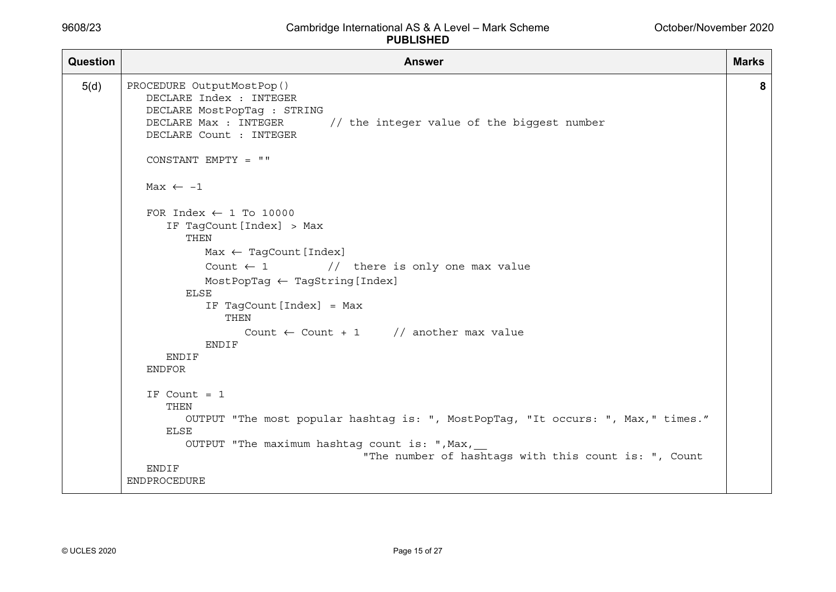| Question | <b>Answer</b>                                                                                                                                                                                                                                                                                                                                      | <b>Marks</b> |
|----------|----------------------------------------------------------------------------------------------------------------------------------------------------------------------------------------------------------------------------------------------------------------------------------------------------------------------------------------------------|--------------|
| 5(d)     | PROCEDURE OutputMostPop()<br>DECLARE Index : INTEGER<br>DECLARE MostPopTag : STRING<br>DECLARE Max : INTEGER<br>// the integer value of the biggest number<br>DECLARE Count : INTEGER                                                                                                                                                              | 8            |
|          | CONSTANT EMPTY = ""                                                                                                                                                                                                                                                                                                                                |              |
|          | Max $\leftarrow -1$                                                                                                                                                                                                                                                                                                                                |              |
|          | FOR Index $\leftarrow$ 1 To 10000<br>IF TagCount [Index] > Max<br>THEN<br>$Max \leftarrow TagCount[Index]$<br>Count $\leftarrow$ 1 // there is only one max value<br>$MostPopTag \leftarrow TagString[Index]$<br>ELSE<br>IF TagCount [Index] = Max<br>THEN<br>Count $\leftarrow$ Count + 1 // another max value<br>ENDIF<br>ENDIF<br><b>ENDFOR</b> |              |
|          | IF Count $= 1$<br>THEN<br>OUTPUT "The most popular hashtag is: ", MostPopTag, "It occurs: ", Max," times."<br><b>ELSE</b><br>OUTPUT "The maximum hashtag count is: ", Max,<br>"The number of hashtags with this count is: ", Count                                                                                                                 |              |
|          | ENDIF<br>ENDPROCEDURE                                                                                                                                                                                                                                                                                                                              |              |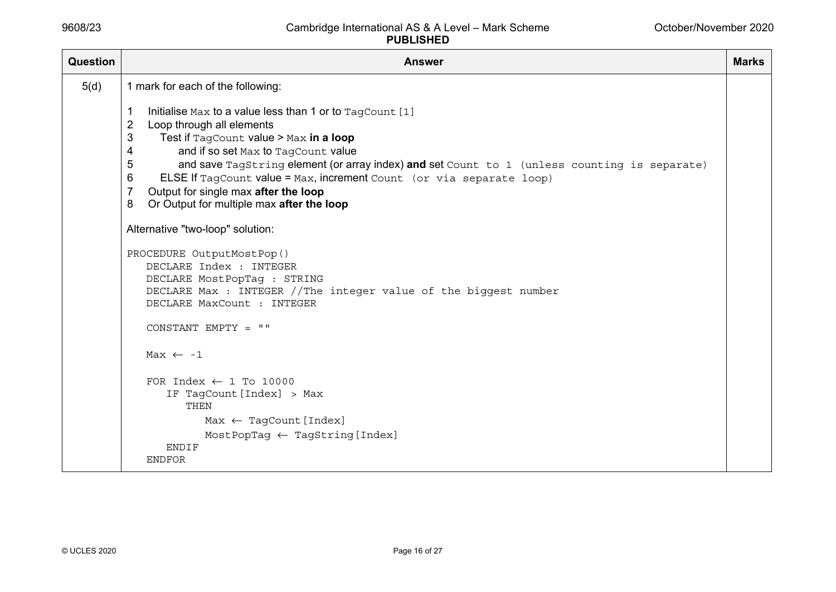| Question | <b>Answer</b>                                                                                                                                                                        | <b>Marks</b> |  |  |
|----------|--------------------------------------------------------------------------------------------------------------------------------------------------------------------------------------|--------------|--|--|
| 5(d)     | 1 mark for each of the following:                                                                                                                                                    |              |  |  |
|          | Initialise Max to a value less than 1 or to TagCount [1]<br>1                                                                                                                        |              |  |  |
|          | $\overline{2}$<br>Loop through all elements                                                                                                                                          |              |  |  |
|          | 3<br>Test if TagCount value > Max in a loop                                                                                                                                          |              |  |  |
|          | and if so set Max to TagCount value<br>4                                                                                                                                             |              |  |  |
|          | 5<br>and save TagString element (or array index) and set Count to 1 (unless counting is separate)                                                                                    |              |  |  |
|          | 6<br>ELSE If TagCount value = Max, increment Count (or via separate loop)                                                                                                            |              |  |  |
|          | $\overline{7}$<br>Output for single max after the loop                                                                                                                               |              |  |  |
|          | Or Output for multiple max after the loop<br>8                                                                                                                                       |              |  |  |
|          | Alternative "two-loop" solution:                                                                                                                                                     |              |  |  |
|          | PROCEDURE OutputMostPop()<br>DECLARE Index : INTEGER<br>DECLARE MostPopTag : STRING<br>DECLARE Max : INTEGER //The integer value of the biggest number<br>DECLARE MaxCount : INTEGER |              |  |  |
|          | CONSTANT EMPTY = ""                                                                                                                                                                  |              |  |  |
|          | Max $\leftarrow -1$                                                                                                                                                                  |              |  |  |
|          | FOR Index $\leftarrow$ 1 To 10000                                                                                                                                                    |              |  |  |
|          | IF TagCount [Index] > Max                                                                                                                                                            |              |  |  |
|          | THEN                                                                                                                                                                                 |              |  |  |
|          | $Max \leftarrow TagCount[Index]$                                                                                                                                                     |              |  |  |
|          | $MostPopTag \leftarrow TagString[Index]$                                                                                                                                             |              |  |  |
|          | <b>ENDIF</b>                                                                                                                                                                         |              |  |  |
|          | <b>ENDFOR</b>                                                                                                                                                                        |              |  |  |
|          |                                                                                                                                                                                      |              |  |  |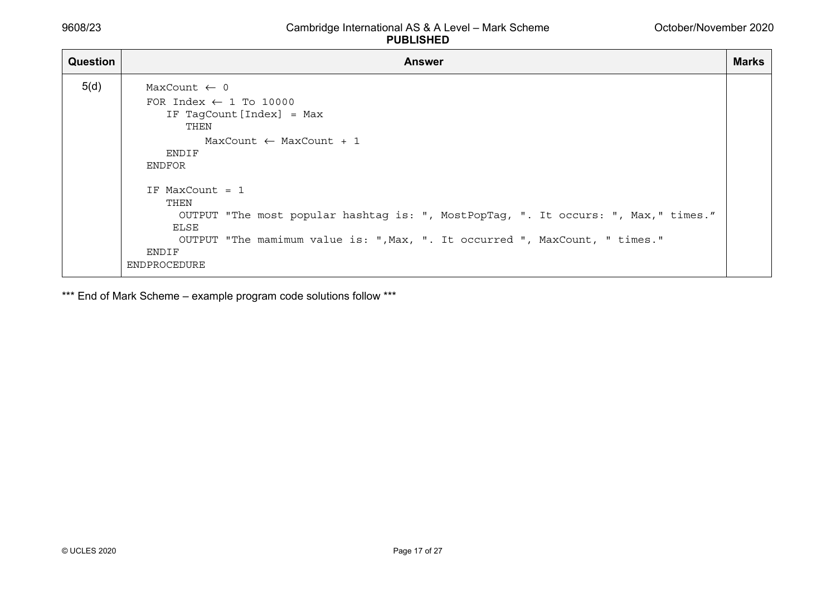| Question | <b>Answer</b>                                                                                                                                                                                                                                                                                                                                                                                 | <b>Marks</b> |
|----------|-----------------------------------------------------------------------------------------------------------------------------------------------------------------------------------------------------------------------------------------------------------------------------------------------------------------------------------------------------------------------------------------------|--------------|
| 5(d)     | MaxCount $\leftarrow$ 0<br>FOR Index $\leftarrow$ 1 To 10000<br>IF TagCount [Index] = Max<br>THEN<br>$MaxCount \leftarrow MaxCount + 1$<br>ENDIF<br>ENDFOR<br>IF MaxCount $= 1$<br>THEN<br>OUTPUT "The most popular hashtag is: ", MostPopTag, ". It occurs: ", Max," times."<br>ELSE<br>OUTPUT "The mamimum value is: ", Max, ". It occurred ", MaxCount, " times."<br>ENDIF<br>ENDPROCEDURE |              |

\*\*\* End of Mark Scheme - example program code solutions follow \*\*\*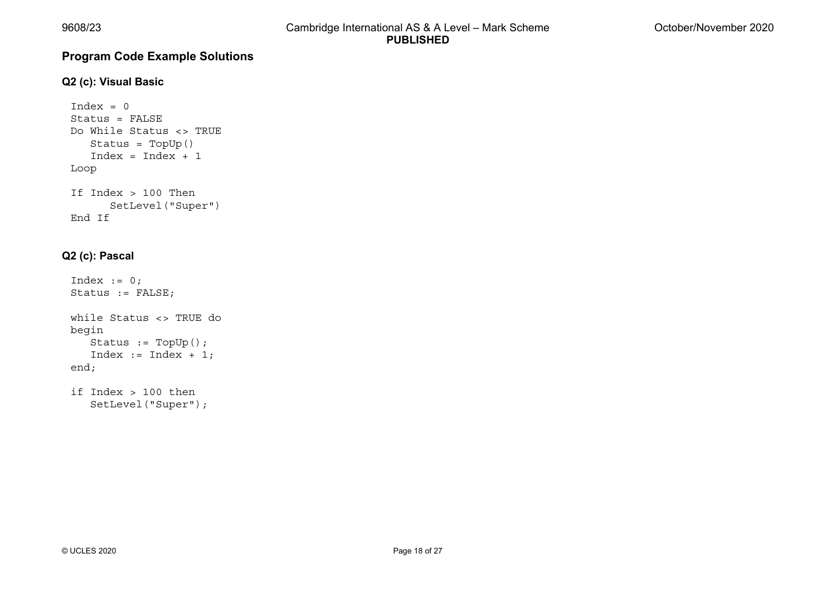# **Program Code Example Solutions**

#### **Q2 (c): Visual Basic**

```
Index = 0Status = FALSEDo While Status <> TRUE  Status = TopUp() 
 Index = Index + 1 
Loop 
If Index > 100 Then  SetLevel("Super") 
End If
```
### **Q2 (c): Pascal**

```
Index := 0;Status := FALSE; 
while Status <> TRUE do 
begin 
    Status := TopUp(); 
    Index := Index + 1; 
end; 
if Index > 100 then
```

```
 SetLevel("Super");
```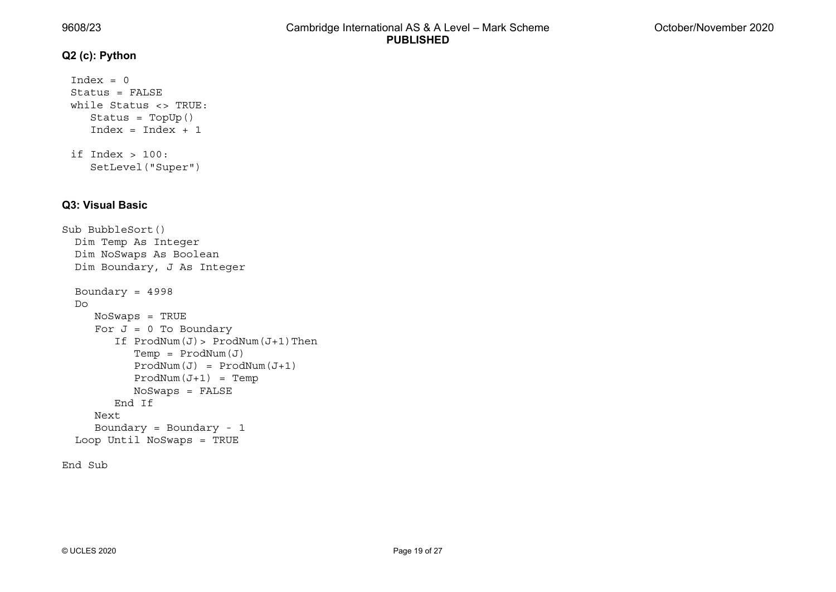#### **Q2 (c): Python**

```
Index = 0Status = FALSEwhile Status <> TRUE:  Status = TopUp() 
   Index = Index + 1if Index > 100:
```
SetLevel("Super")

#### **Q3: Visual Basic**

```
Sub BubbleSort() 
   Dim Temp As Integer 
   Dim NoSwaps As Boolean 
   Dim Boundary, J As Integer 
   Boundary = 4998 
   Do  NoSwaps = TRUE 
     For J = 0 To Boundary
        If ProdNum(J) > ProdNum(J+1) Then
            Temp = ProdNum(J) 
           ProdNum(J) = ProdNum(J+1)ProofNum(J+1) = Temp NoSwaps = FALSE 
         End If  Next  Boundary = Boundary - 1 
   Loop Until NoSwaps = TRUE
```

```
End Sub
```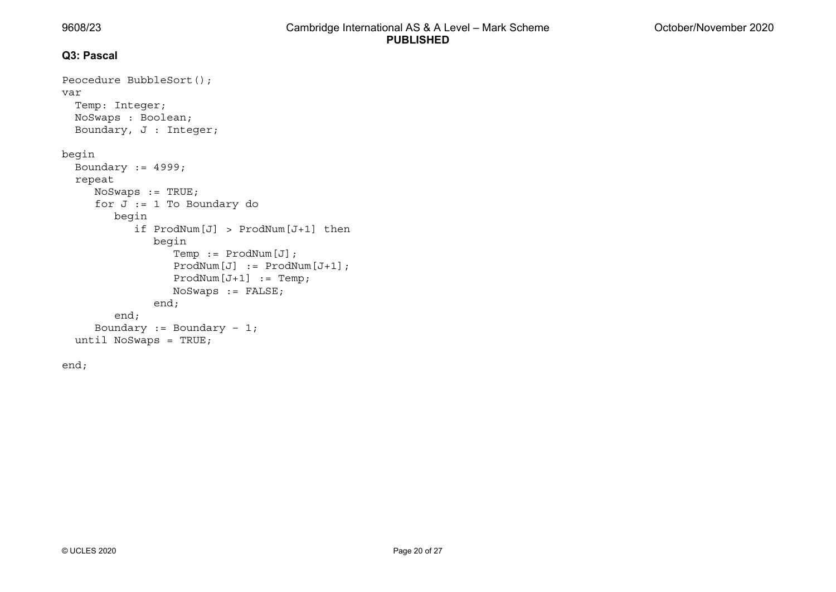#### **Q3: Pascal**

```
Peocedure BubbleSort(); 
var  Temp: Integer; 
  NoSwaps : Boolean; 
   Boundary, J : Integer; 
begin 
  Boundary := 4999; repeat 
     NoSwaps := TRUE;
     for J := 1 To Boundary do
         begin 
             if ProdNum[J] > ProdNum[J+1] then 
                begin 
                   Temp := ProdNum[J]; 
                   ProdNum[J] := ProdNum[J+1]; 
                  ProdNum[J+1] := Temp; NoSwaps := FALSE; 
                end; 
         end; 
     Boundary := Boundary -1;
   until NoSwaps = TRUE;
```
end;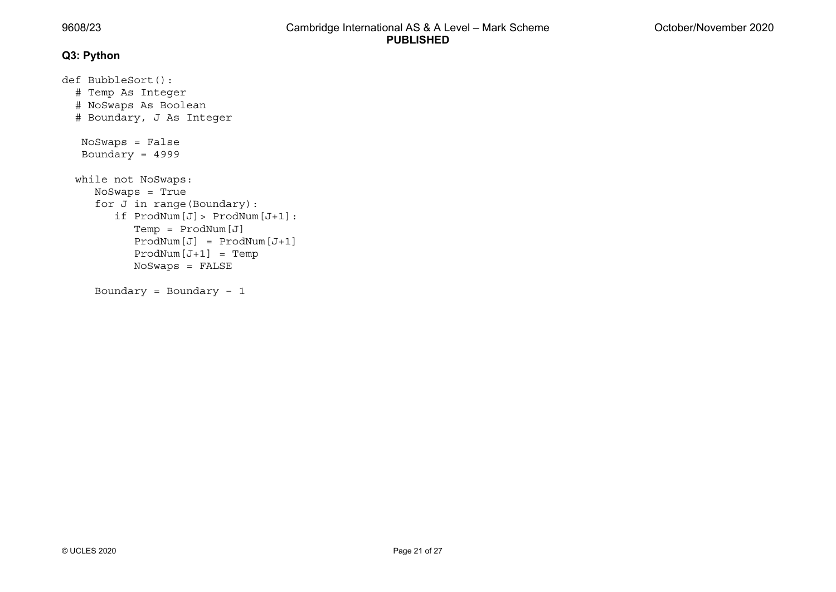#### **Q3: Python**

```
def BubbleSort(): 
   # Temp As Integer 
   # NoSwaps As Boolean 
   # Boundary, J As Integer 
    NoSwaps = False 
    Boundary = 4999 
   while not NoSwaps: 
      NoSwaps = True 
      for J in range(Boundary): 
         if ProdNum[J]> ProdNum[J+1]: 
             Temp = ProdNum[J] 
             ProdNum[J] = ProdNum[J+1] 
             ProdNum[J+1] = Temp 
             NoSwaps = FALSE 
      Boundary = Boundary – 1
```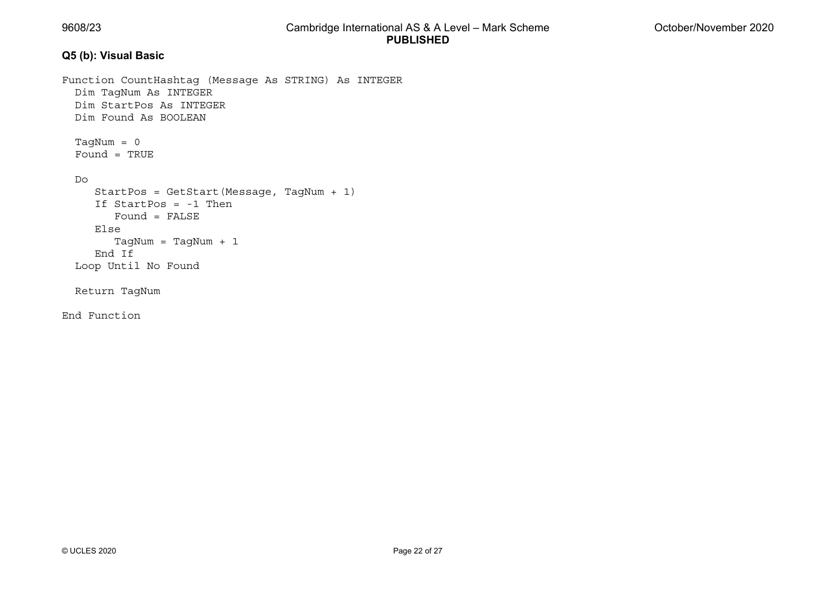#### **Q5 (b): Visual Basic**

```
Function CountHashtag (Message As STRING) As INTEGER 
   Dim TagNum As INTEGER 
   Dim StartPos As INTEGER  Dim Found As BOOLEAN  TagNum = 0 
 Found = TRUE 
   Do  StartPos = GetStart(Message, TagNum + 1) 
 If StartPos = -1 Then 
         Found = FALSE  Else  TagNum = TagNum + 1 
 End If 
  Loop Until No Found 
   Return TagNum
```
End Function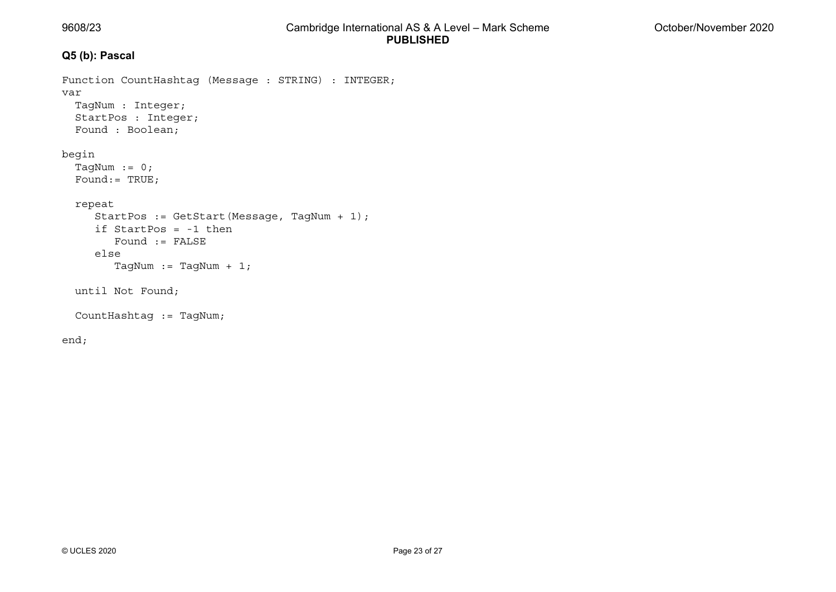# **Q5 (b): Pascal**

```
Function CountHashtag (Message : STRING) : INTEGER; 
var 
   TagNum : Integer; 
   StartPos : Integer; 
   Found : Boolean; 
begin 
  TagNum := 0; Found:= TRUE; 
   repeat 
      StartPos := GetStart(Message, TagNum + 1); 
 if StartPos = -1 then 
         Found := FALSE  else TagNum := TagNum + 1;
   until Not Found; 
   CountHashtag := TagNum;
```
end;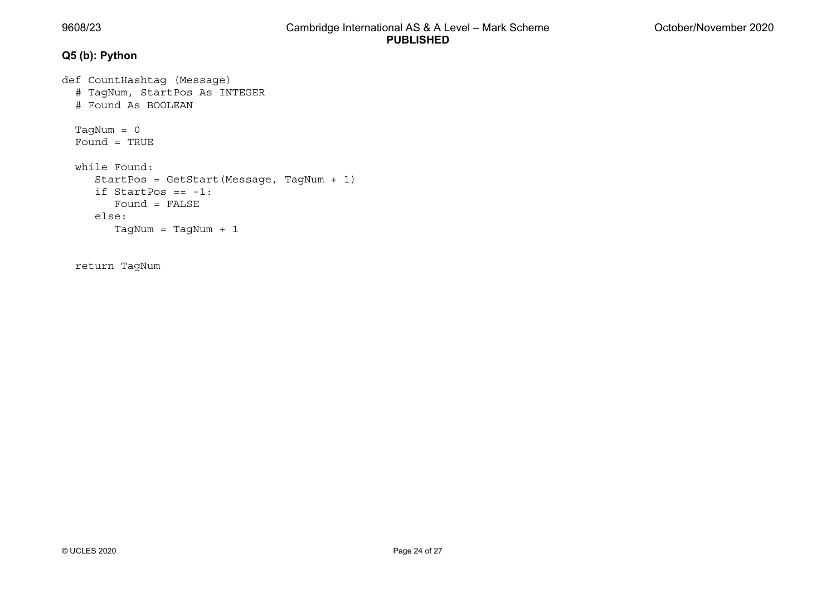# **Q5 (b): Python**

```
def CountHashtag (Message) 
   # TagNum, StartPos As INTEGER 
   # Found As BOOLEAN 
   TagNum = 0 
 Found = TRUE 
 while Found: 
      StartPos = GetStart(Message, TagNum + 1) 
 if StartPos == -1: 
 Found = FALSE 
      else:  TagNum = TagNum + 1
```
return TagNum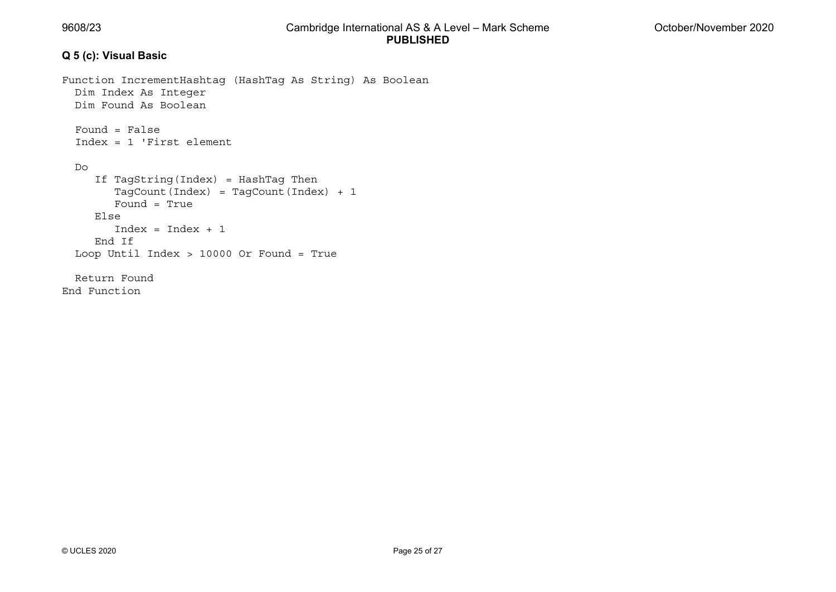## **Q 5 (c): Visual Basic**

```
Function IncrementHashtag (HashTag As String) As Boolean 
   Dim Index As Integer 
   Dim Found As Boolean  Found = False  Index = 1 'First element 
   Do  If TagString(Index) = HashTag Then 
         TagCount(Index) = TagCount(Index) + 1 
 Found = True 
      Else Index = Index + 1 End If  Loop Until Index > 10000 Or Found = True 
   Return Found End Function
```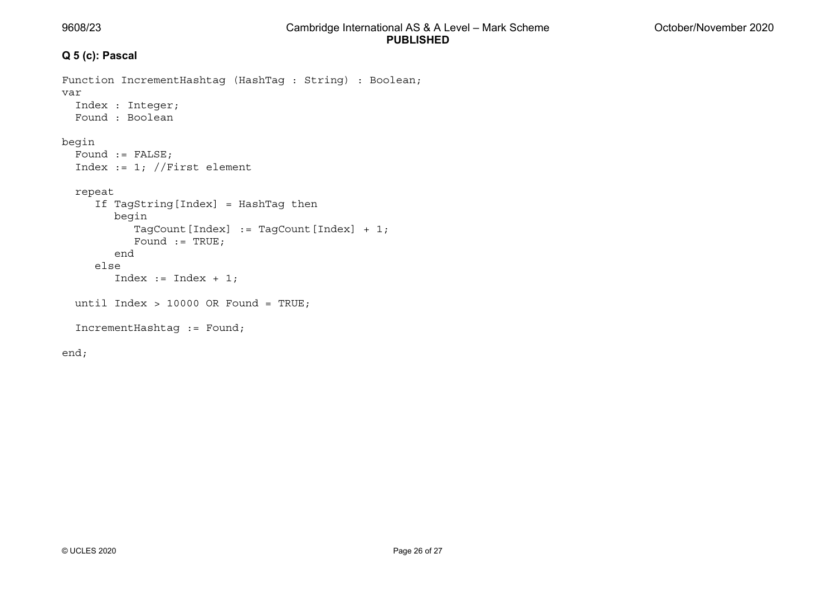### **Q 5 (c): Pascal**

```
Function IncrementHashtag (HashTag : String) : Boolean; 
var  Index : Integer; 
 Found : Boolean 
begin 
  Found := FALSE;
  Index := 1; //First element
   repeat 
      If TagString[Index] = HashTag then 
         begin 
            TagCount[Index] := TagCount[Index] + 1; 
           Found := TRUE;
         end  else  Index := Index + 1; 
  until Index > 10000 OR Found = TRUE;
   IncrementHashtag := Found; 
end;
```